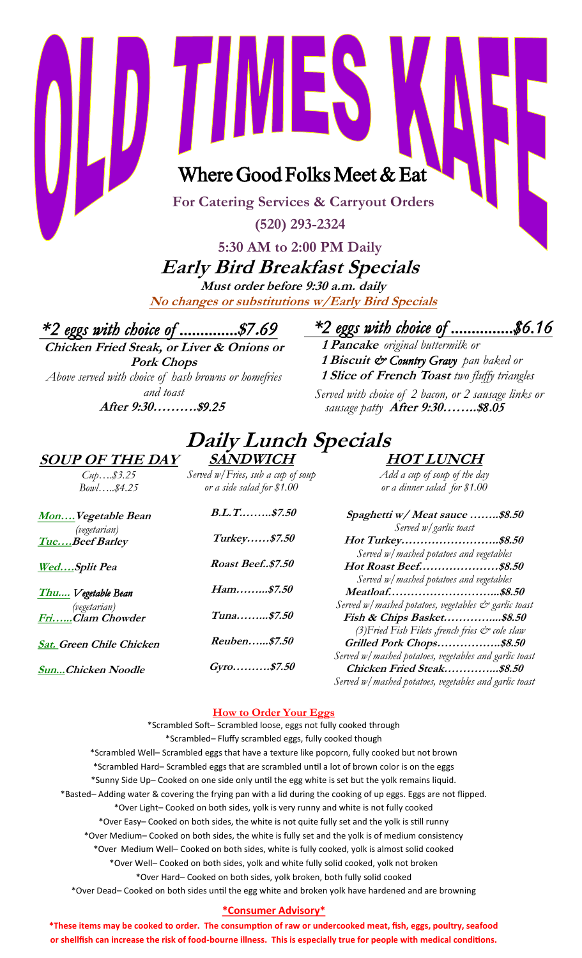Where Good Folks Meet & Eat

EN

**For Catering Services & Carryout Orders**

**(520) 293-2324**

## **5:30 AM to 2:00 PM Daily Early Bird Breakfast Specials**

**Must order before 9:30 a.m. daily No changes or substitutions w/Early Bird Specials**

**Daily Lunch Specials** 

**\****2 eggs with choice of ..............***\$***7***.***69*

**Chicken Fried Steak, or Liver & Onions or Pork Chops**  *Above served with choice of hash browns or homefries and toast* 

**After 9:30……….\$***9.2***<sup>5</sup>**

*\*2 eggs with choice of ...............\$6.16*

**1 Pancake** *original buttermilk or* **1 Biscuit** *& Country Gravy pan baked or* **1 Slice of French Toast** *two fluffy triangles Served with choice of 2 bacon, or 2 sausage links or sausage patty* **After 9:30……..\$***8***.***05*

## **SOUP OF THE DAY**

*Cup….\$3.25 Bowl…..\$4.25*

**SANDWICH** *Served w/Fries, sub a cup of soup or a side salad for \$1.00* 

*Add a cup of soup of the day or a dinner salad for \$1.00*

**HOT LUNCH**

| MonVegetable Bean              | B.L.        |
|--------------------------------|-------------|
| (vegetarian)<br>TueBeef Barley | Turk        |
| WedSplit Pea                   | <b>Roas</b> |

**Thu....** *Vegetable Bean (vegetarian)* **Fri…...Clam Chowder** 

**Sat. Green Chile Chicken**

**Sun...Chicken Noodle**

**B.L.T.……..\$7.50 Turkey……\$7.50 Roast Beef..\$7.50 Ham……...\$7.50 Tuna……...\$7.50 Reuben…...\$7.50**

**Gyro……….\$7.50**

### **Spaghetti w/ Meat sauce ……..\$8.50** *Served w/garlic toast*  **Hot Turkey……………………..\$8.50** *Served w/mashed potatoes and vegetables*  **Hot Roast Beef…………………\$8.50** *Served w/mashed potatoes and vegetables*  **Meatloaf………………………...\$8.50** *Served w/mashed potatoes, vegetables & garlic toast*  **Fish & Chips Basket…………....\$8.50** *(3)Fried Fish Filets ,french fries & cole slaw* **Grilled Pork Chops……………..\$8.50** *Served w/mashed potatoes, vegetables and garlic toast* **Chicken Fried Steak…………...\$8.50**

*Served w/mashed potatoes, vegetables and garlic toast*

## **How to Order Your Eggs**

\*Scrambled Soft– Scrambled loose, eggs not fully cooked through \*Scrambled– Fluffy scrambled eggs, fully cooked though \*Scrambled Well– Scrambled eggs that have a texture like popcorn, fully cooked but not brown \*Scrambled Hard– Scrambled eggs that are scrambled until a lot of brown color is on the eggs \*Sunny Side Up– Cooked on one side only until the egg white is set but the yolk remains liquid. \*Basted– Adding water & covering the frying pan with a lid during the cooking of up eggs. Eggs are not flipped. \*Over Light– Cooked on both sides, yolk is very runny and white is not fully cooked \*Over Easy– Cooked on both sides, the white is not quite fully set and the yolk is still runny \*Over Medium– Cooked on both sides, the white is fully set and the yolk is of medium consistency \*Over Medium Well– Cooked on both sides, white is fully cooked, yolk is almost solid cooked \*Over Well– Cooked on both sides, yolk and white fully solid cooked, yolk not broken \*Over Hard– Cooked on both sides, yolk broken, both fully solid cooked \*Over Dead– Cooked on both sides until the egg white and broken yolk have hardened and are browning

## **\*Consumer Advisory\***

**\*These items may be cooked to order. The consumption of raw or undercooked meat, fish, eggs, poultry, seafood or shellfish can increase the risk of food-bourne illness. This is especially true for people with medical conditions.**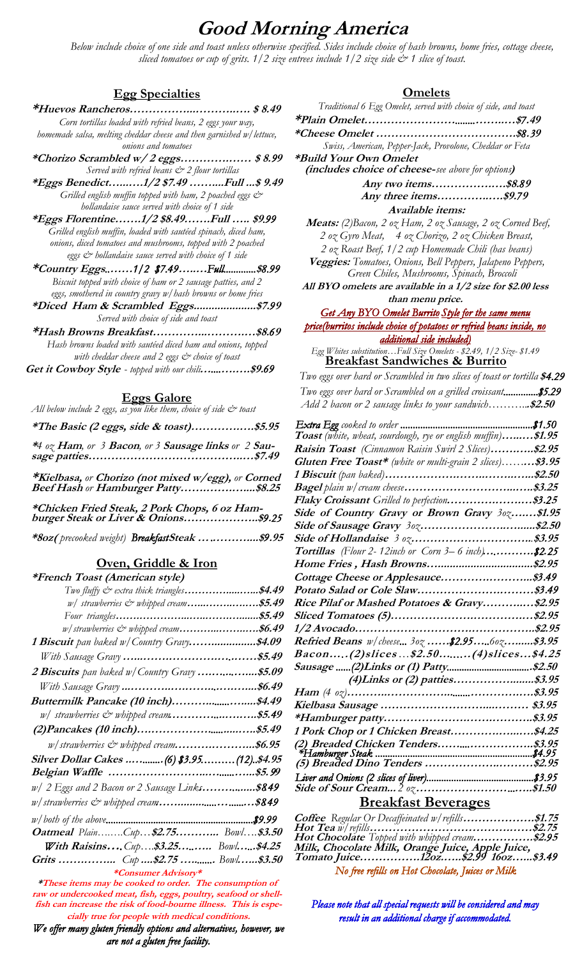## **Good Morning America**

 *Below include choice of one side and toast unless otherwise specified. Sides include choice of hash browns, home fries, cottage cheese, sliced tomatoes or cup of grits. 1/2 size entrees include 1/2 size side & 1 slice of toast.*

#### **Egg Specialties**

- **\*Huevos Rancheros……………...………..…. \$ 8.49** *Corn tortillas loaded with refried beans, 2 eggs your way, homemade salsa, melting cheddar cheese and then garnished w/lettuce,*
- *onions and tomatoes* **\*Chorizo Scrambled w/ 2 eggs………….…… \$ 8.***9***<sup>9</sup>**  *Served with refried beans & 2 flour tortillas*
- **\*Eggs Benedict…...….1/2 \$7.49 ……....Full ...\$ 9.49** *Grilled english muffin topped with ham, 2 poached eggs*  $\mathcal{C}^*$ *hollandaise sauce served with choice of 1 side*
- **\*Eggs Florentine…….1/2 \$8.49…….Full ….. \$9***.99 Grilled english muffin, loaded with sautéed spinach, diced ham, onions, diced tomatoes and mushrooms, topped with 2 poached eggs & hollandaise sauce served with choice of 1 side*
- **\*Country Eggs***..***……***1/2 \$7.49***…..…***Full.............***\$***8.99 Biscuit topped with choice of ham or 2 sausage patties, and 2 eggs, smothered in country gravy w/hash browns or home fries*
- **\*Diced Ham & Scrambled Eggs.....................\$7.***9***<sup>9</sup>** *Served with choice of side and toast*
- **\*Hash Browns Breakfast…………...……….…\$8.***6***<sup>9</sup>** *Hash browns loaded with sautéed diced ham and onions, topped with cheddar cheese and 2 eggs & choice of toast*   **Get it Cowboy Style** *- topped with our chili***…***....***….….\$9.***69*
	- **Eggs Galore**

All below include 2 eggs, as you like them, choice of side & toast

**\*The Basic (2 eggs, side & toast)………….….\$5.95** 

**\****4 oz* **Ham***, or 3* **Bacon***, or 3* **Sausage links** *or 2* **Sausage patties…………………………………..…\$7.49**

**\*Kielbasa,** *or* **Chorizo (not mixed w/egg),** *or* **Corned Beef Hash** *or* **Hamburger Patty…….…….…....\$8.25**

| *Chicken Fried Steak, 2 Pork Chops, 6 oz Ham- |  |
|-----------------------------------------------|--|
|                                               |  |

**\*8oz(** *precooked weight) Breakfast* **Steak …***.***………....\$***9***.95**

#### **Oven, Griddle & Iron**

#### **\*French Toast (American style)**

| $\cdots$<br>Two fluffy $\mathcal{C}^{\infty}$ extra thick triangles\$4.49 |  |
|---------------------------------------------------------------------------|--|
| w/ strawberries & whipped cream\$5.49                                     |  |
|                                                                           |  |
| w/strawberries & whipped cream\$6.49                                      |  |
| <b>1 Biscuit</b> pan baked w/Country Gravy\$4.09                          |  |
|                                                                           |  |
| 2 Biscuits pan baked w/Country Gravy \$5.09                               |  |
|                                                                           |  |
| <i>Buttermilk Pancake (10 inch)\$4.49</i>                                 |  |
| w/ strawberries & whipped cream\$5.49                                     |  |
|                                                                           |  |
| w/strawberries & whipped cream\$6.95                                      |  |
| <i>Silver Dollar Cakes (6) \$3.95(12)\$4.95</i>                           |  |
|                                                                           |  |
| w/ 2 Eggs and 2 Bacon or 2 Sausage Link <b>s\$849</b>                     |  |
| w/strawberries & whipped cream\$849                                       |  |
|                                                                           |  |
| <b>Oatmeal</b> PlainCup\$2.75 Bowl\$3.50                                  |  |
| <b>With Raisins</b> Cup\$3.25 Bowl\$4.25                                  |  |
| <b>Grits </b> Cup \$2.75  Bowl\$3.50                                      |  |
| *Consumer Advisory*                                                       |  |

**\*These items may be cooked to order. The consumption of raw or undercooked meat, fish, eggs, poultry, seafood or shellfish can increase the risk of food-bourne illness. This is especially true for people with medical conditions.** 

*We offer many gluten friendly options and alternatives, however, we are not a gluten free facility.* 

### **Omelets**

| Traditional 6 Egg Omelet, served with choice of side, and toast                                                  |
|------------------------------------------------------------------------------------------------------------------|
|                                                                                                                  |
|                                                                                                                  |
| Swiss, American, Pepper-Jack, Provolone, Cheddar or Feta                                                         |
| *Build Your Own Omelet                                                                                           |
| <i>(includes choice of cheese-see above for options)</i>                                                         |
| Any two items\$8.89                                                                                              |
| Any three items\$9.79                                                                                            |
| Available items:                                                                                                 |
| <b>Meats:</b> (2) Bacon, 2 oz Ham, 2 oz Sausage, 2 oz Corned Beef,                                               |
| 2 oz Gyro Meat, 4 oz Chorizo, 2 oz Chicken Breast,                                                               |
| 2 oz Roast Beef, 1/2 cup Homemade Chili (has beans)                                                              |
| Veggies: Tomatoes, Onions, Bell Peppers, Jalapeno Peppers,                                                       |
| Green Chiles, Mushrooms, Spinach, Broccoli                                                                       |
| All BYO omelets are available in a 1/2 size for \$2.00 less                                                      |
| than menu price.                                                                                                 |
| <b>Get Any BYO Omelet Burrito Style for the same menu</b>                                                        |
| price(burritos include choice of potatoes or refried beans inside, no                                            |
| additional side included)                                                                                        |
| Egg Whites substitutionFull Size Omelets - \$2.49, 1/2 Size- \$1.49<br><b>Breakfast Sandwiches &amp; Burrito</b> |
| Two eggs over hard or Scrambled in two slices of toast or tortilla \$4.29                                        |
| Two eggs over hard or Scrambled on a grilled croissant\$5.29                                                     |
| Add 2 bacon or 2 sausage links to your sandwich\$2.50                                                            |
|                                                                                                                  |
|                                                                                                                  |
| <b>Toast</b> (white, wheat, sourdough, rye or english muffin)\$1.95                                              |
| Raisin Toast (Cinnamon Raisin Swirl 2 Slices)\$2.95                                                              |
| Gluten Free Toast* (white or multi-grain 2 slices)\$3.95                                                         |
|                                                                                                                  |
|                                                                                                                  |
| Flaky Croissant Grilled to perfection\$3.25                                                                      |
| Side of Country Gravy or Brown Gravy 30z\$1.95                                                                   |
|                                                                                                                  |
|                                                                                                                  |
| Tortillas (Flour 2-12inch or Corn 3-6 inch)\$2.25                                                                |
|                                                                                                                  |
|                                                                                                                  |
|                                                                                                                  |
| Rice Pilaf or Mashed Potatoes & Gravy\$2.95                                                                      |
|                                                                                                                  |
|                                                                                                                  |
| <b>Refried Beans</b> $w$ /cheese 30 $x$ \$2.9560 $x$ \$3.95                                                      |
| Bacon(2)slices\$2.50(4)slices\$4.25                                                                              |
|                                                                                                                  |
| (4) Links or (2) patties\$3.95                                                                                   |
|                                                                                                                  |
|                                                                                                                  |
|                                                                                                                  |
| 1 Pork Chop or 1 Chicken Breast\$4.25                                                                            |
|                                                                                                                  |
|                                                                                                                  |

#### **Side of Sour Cream...** *2 oz* **……………………***...***…..\$1.50 Breakfast Beverages**

*Liver and Onions (2 slices of liver)...........................................\$3.95*

| <b>Coffee</b> Regular Or Decaffeinated $w$ refills\$1.75                                                                               |  |
|----------------------------------------------------------------------------------------------------------------------------------------|--|
|                                                                                                                                        |  |
|                                                                                                                                        |  |
|                                                                                                                                        |  |
| Hot Chocolate Topped with whipped cream\$2.95<br>Milk, Chocolate Milk, Orange Juice, Apple Juice,<br>Tomato Juice120z\$2.99 160z\$3.49 |  |
| No free refills on Hot Chocolate, Juices or Milk                                                                                       |  |

*Please note that all special requests will be considered and may result in an additional charge if accommodated.*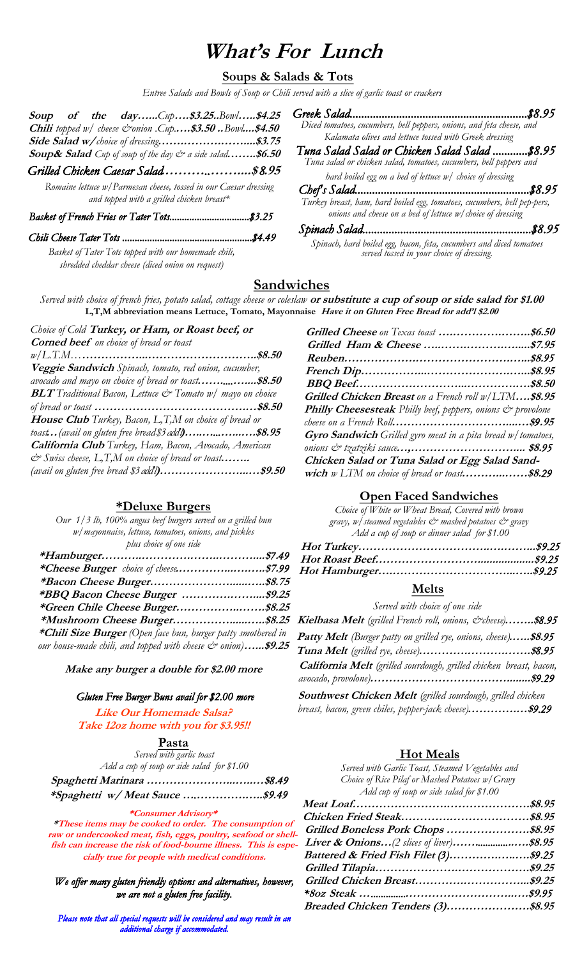# **What's For Lunch**

## **Soups & Salads & Tots**

*Entree Salads and Bowls of Soup or Chili served with a slice of garlic toast or crackers*

|  |  | Soup of the dayCup\$3.25Bowl\$4.25                                           |  |
|--|--|------------------------------------------------------------------------------|--|
|  |  | <b>Chili</b> topped $w/$ cheese & onion . Cup\$3.50  Bowl\$4.50              |  |
|  |  | Side Salad w/choice of dressing\$3.75                                        |  |
|  |  | <b>Soup&amp; Salad</b> Cup of soup of the day $\breve{c}$ a side salad\$6.50 |  |
|  |  | Grilled Chicken Caesar Salad\$8.95                                           |  |

*Romaine lettuce w/Parmesan cheese, tossed in our Caesar dressing and topped with a grilled chicken breast\**

#### *Basket of French Fries or Tater Tots................................\$3.25*

*Chili Cheese Tater Tots ....................................................\$4.49 Basket of Tater Tots topped with our homemade chili, shredded cheddar cheese (diced onion on request)*

*Diced tomatoes, cucumbers, bell peppers, onions, and feta cheese, and Kalamata olives and lettuce tossed with Greek dressing*  **Soup of the day…...***Cup***….\$3.25..***Bowl***…..\$4.25** *Greek Salad.............................................................\$8.95*

**Soup& Salad** *Cup of soup of the day & a side salad***……..\$6.50** *Tuna Salad Salad or Chicken Salad Salad ............\$8.95 Tuna salad or chicken salad, tomatoes, cucumbers, bell peppers and hard boiled egg on a bed of lettuce w/ choice of dressing* 

*Chef's Salad............................................................\$8.95 Turkey breast, ham, hard boiled egg, tomatoes, cucumbers, bell pep-pers, onions and cheese on a bed of lettuce w/choice of dressing* 

*Spinach Salad..........................................................\$8.95 Spinach, hard boiled egg, bacon, feta, cucumbers and diced tomatoes served tossed in your choice of dressing.* 

## **Sandwiches**

*Served with choice of french fries, potato salad, cottage cheese or coleslaw* **or substitute a cup of soup or side salad for \$1.00 L,T,M abbreviation means Lettuce, Tomato, Mayonnaise Have it on Gluten Free Bread for add'l \$2.00** 

| Choice of Cold Turkey, or Ham, or Roast beef, or                                 |  |
|----------------------------------------------------------------------------------|--|
| <b>Corned beef</b> on choice of bread or toast                                   |  |
|                                                                                  |  |
| Veggie Sandwich Spinach, tomato, red onion, cucumber,                            |  |
| avocado and mayo on choice of bread or toast\$8.50                               |  |
| <b>BLT</b> Traditional Bacon, Lettuce $\mathcal{C}^*$ Tomato $w/$ mayo on choice |  |
|                                                                                  |  |
| House Club Turkey, Bacon, L,T,M on choice of bread or                            |  |
| toast (avail on gluten free bread\$3 add')\$8.95                                 |  |
| California Club Turkey, Ham, Bacon, Avocado, American                            |  |
| $\mathcal{O}$ Swiss cheese, L, T, M on choice of bread or toast                  |  |
| (avail on gluten free bread \$3 addl)\$9.50                                      |  |

### **\*Deluxe Burgers**

*Our 1/3 lb, 100% angus beef burgers served on a grilled bun w/mayonnaise, lettuce, tomatoes, onions, and pickles plus choice of one side* 

| <i>*BBQ Bacon Cheese Burger  \$9.25</i>                                 |  |
|-------------------------------------------------------------------------|--|
| *Green Chile Cheese Burger\$8.25                                        |  |
|                                                                         |  |
| *Chili Size Burger (Open face bun, burger patty smothered in            |  |
| our house-made chili, and topped with cheese $\mathcal{Q}$ onion)\$9.25 |  |

**Make any burger a double for \$2.00 more**

#### *Gluten Free Burger Buns avail for \$2.00 more*

**Like Our Homemade Salsa? Take 12oz home with you for \$3.95!!** 

**Pasta** 

*Served with garlic toast Add a cup of soup or side salad for \$1.00* 

#### **\*Consumer Advisory\***

**\*These items may be cooked to order. The consumption of raw or undercooked meat, fish, eggs, poultry, seafood or shellfish can increase the risk of food-bourne illness. This is especially true for people with medical conditions.** 

*We offer many gluten friendly options and alternatives, however, we are not a gluten free facility.*

Please note that all special requests will be considered and may result in an *additional charge if accommodated.*

| Grilled Chicken Breast on a French roll w/LTM\$8.95                |
|--------------------------------------------------------------------|
| <b>Philly Cheesesteak</b> Philly beef, peppers, onions & provolone |
|                                                                    |
| <b>Gyro Sandwich</b> Grilled gyro meat in a pita bread w/tomatoes, |
|                                                                    |
| Chicken Salad or Tuna Salad or Egg Salad Sand-                     |
| wich w LTM on choice of bread or toast\$8.29                       |
|                                                                    |

**Grilled Cheese** *on Texas toast* **….………….……..\$6.50** 

### **Open Faced Sandwiches**

*Choice of White or Wheat Bread, Covered with brown gravy, w/steamed vegetables & mashed potatoes & gravy Add a cup of soup or dinner salad for \$1.00* 

## **Melts**

*Served with choice of one side* 

| Kielbasa Melt (grilled French roll, onions, & cheese)\$8.95               |  |
|---------------------------------------------------------------------------|--|
| <b>Patty Melt</b> (Burger patty on grilled rye, onions, cheese)\$8.95     |  |
|                                                                           |  |
| <b>California Melt</b> (grilled sourdough, grilled chicken breast, bacon, |  |
| <b>Southwest Chicken Melt</b> (grilled sourdough, grilled chicken         |  |

*breast, bacon, green chiles, pepper-jack cheese)***………….…\$***9.29*

### **Hot Meals**

| Served with Garlic Toast, Steamed Vegetables and |  |
|--------------------------------------------------|--|
| Choice of Rice Pilaf or Mashed Potatoes w/ Gravy |  |
| Add cup of soup or side salad for \$1.00         |  |
|                                                  |  |
|                                                  |  |
| Grilled Boneless Pork Chops \$8.95               |  |
|                                                  |  |
|                                                  |  |
|                                                  |  |
| Grilled Chicken Breast\$9.25                     |  |
|                                                  |  |
| Breaded Chicken Tenders (3)\$8.95                |  |
|                                                  |  |